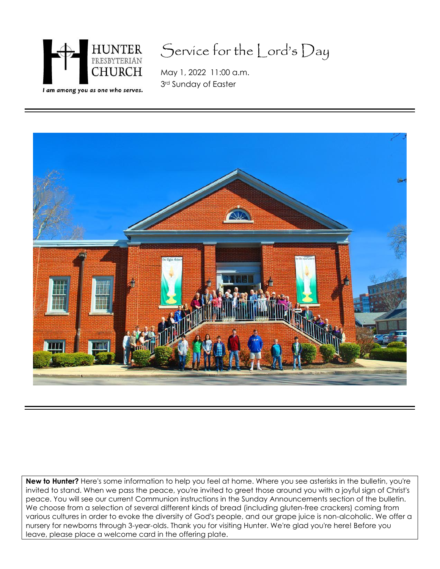

# Service for the Lord's Day

May 1, 2022 11:00 a.m. 3rd Sunday of Easter



**New to Hunter?** Here's some information to help you feel at home. Where you see asterisks in the bulletin, you're invited to stand. When we pass the peace, you're invited to greet those around you with a joyful sign of Christ's peace. You will see our current Communion instructions in the Sunday Announcements section of the bulletin. We choose from a selection of several different kinds of bread (including gluten-free crackers) coming from various cultures in order to evoke the diversity of God's people, and our grape juice is non-alcoholic. We offer a nursery for newborns through 3-year-olds. Thank you for visiting Hunter. We're glad you're here! Before you leave, please place a welcome card in the offering plate.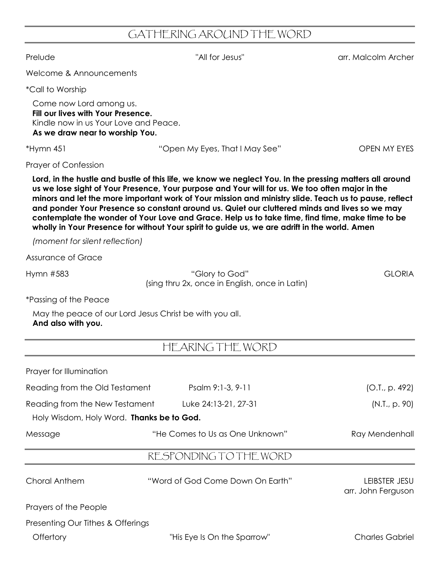## GATHERING AROUND THE WORD

Prelude "All for Jesus" arr. Malcolm Archer

Welcome & Announcements

\*Call to Worship

Come now Lord among us. **Fill our lives with Your Presence.** Kindle now in us Your Love and Peace. **As we draw near to worship You.**

\*Hymn 451 "Open My Eyes, That I May See" OPEN MY EYES

Prayer of Confession

**Lord, in the hustle and bustle of this life, we know we neglect You. In the pressing matters all around us we lose sight of Your Presence, Your purpose and Your will for us. We too often major in the minors and let the more important work of Your mission and ministry slide. Teach us to pause, reflect and ponder Your Presence so constant around us. Quiet our cluttered minds and lives so we may contemplate the wonder of Your Love and Grace. Help us to take time, find time, make time to be wholly in Your Presence for without Your spirit to guide us, we are adrift in the world. Amen**

*(moment for silent reflection)*

Assurance of Grace

Hymn #583 "Glory to God" GLORIA (sing thru 2x, once in English, once in Latin)

\*Passing of the Peace

May the peace of our Lord Jesus Christ be with you all. **And also with you.**

HEARING THE WORD

| Prayer for Illumination                                                     |                                  |                                     |
|-----------------------------------------------------------------------------|----------------------------------|-------------------------------------|
| Reading from the Old Testament                                              | Psalm 9:1-3, 9-11                | (O.I., p. 492)                      |
| Reading from the New Testament<br>Holy Wisdom, Holy Word. Thanks be to God. | Luke 24:13-21, 27-31             | (N.T., p. 90)                       |
| Message                                                                     | "He Comes to Us as One Unknown"  | Ray Mendenhall                      |
|                                                                             | RESPONDING TO THE WORD           |                                     |
| Choral Anthem                                                               | "Word of God Come Down On Earth" | LEIBSTER JESU<br>arr. John Ferguson |
| Prayers of the People                                                       |                                  |                                     |
| Presenting Our Tithes & Offerings                                           |                                  |                                     |
| Offertory                                                                   | "His Eye Is On the Sparrow"      | Charles Gabriel                     |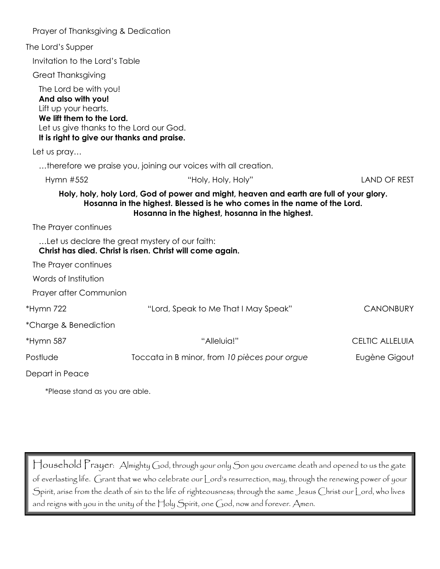| Prayer of Thanksgiving & Dedication                                                                                                                                                       |                                                                                                                                                                                                                        |                        |
|-------------------------------------------------------------------------------------------------------------------------------------------------------------------------------------------|------------------------------------------------------------------------------------------------------------------------------------------------------------------------------------------------------------------------|------------------------|
| The Lord's Supper                                                                                                                                                                         |                                                                                                                                                                                                                        |                        |
| Invitation to the Lord's Table                                                                                                                                                            |                                                                                                                                                                                                                        |                        |
| <b>Great Thanksgiving</b>                                                                                                                                                                 |                                                                                                                                                                                                                        |                        |
| The Lord be with you!<br>And also with you!<br>Lift up your hearts.<br>We lift them to the Lord.<br>Let us give thanks to the Lord our God.<br>It is right to give our thanks and praise. |                                                                                                                                                                                                                        |                        |
| Let us pray                                                                                                                                                                               |                                                                                                                                                                                                                        |                        |
|                                                                                                                                                                                           | therefore we praise you, joining our voices with all creation.                                                                                                                                                         |                        |
| Hymn #552                                                                                                                                                                                 | "Holy, Holy, Holy"                                                                                                                                                                                                     | <b>LAND OF REST</b>    |
| The Prayer continues                                                                                                                                                                      | Holy, holy, holy Lord, God of power and might, heaven and earth are full of your glory.<br>Hosanna in the highest. Blessed is he who comes in the name of the Lord.<br>Hosanna in the highest, hosanna in the highest. |                        |
|                                                                                                                                                                                           | Let us declare the great mystery of our faith:<br>Christ has died. Christ is risen. Christ will come again.                                                                                                            |                        |
| The Prayer continues                                                                                                                                                                      |                                                                                                                                                                                                                        |                        |
| Words of Institution                                                                                                                                                                      |                                                                                                                                                                                                                        |                        |
| Prayer after Communion                                                                                                                                                                    |                                                                                                                                                                                                                        |                        |
| *Hymn 722                                                                                                                                                                                 | "Lord, Speak to Me That I May Speak"                                                                                                                                                                                   | <b>CANONBURY</b>       |
| *Charge & Benediction                                                                                                                                                                     |                                                                                                                                                                                                                        |                        |
| *Hymn 587                                                                                                                                                                                 | "Alleluia!"                                                                                                                                                                                                            | <b>CELTIC ALLELUIA</b> |
| Postlude                                                                                                                                                                                  | Toccata in B minor, from 10 pièces pour orgue                                                                                                                                                                          | Eugène Gigout          |
| Depart in Peace                                                                                                                                                                           |                                                                                                                                                                                                                        |                        |
| *Please stand as you are able.                                                                                                                                                            |                                                                                                                                                                                                                        |                        |

Household Prayer: Almighty God, through your only Son you overcame death and opened to us the gate of everlasting life. Grant that we who celebrate our Lord's resurrection, may, through the renewing power of your Spirit, arise from the death of sin to the life of righteousness; through the same Jesus Christ our Lord, who lives and reigns with you in the unity of the Holy Spirit, one God, now and forever. Amen.